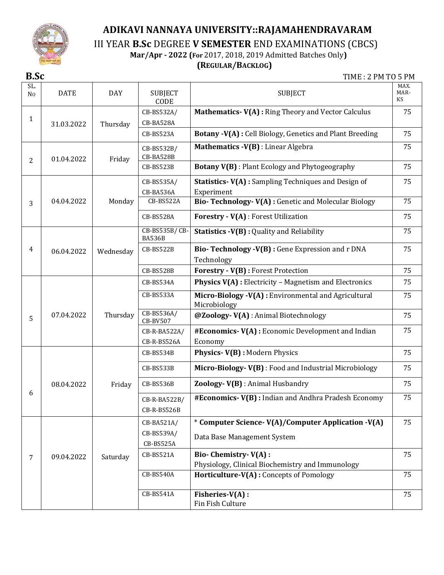

III YEAR **B.Sc** DEGREE **V SEMESTER** END EXAMINATIONS (CBCS)

 **Mar/Apr - 2022 (For** 2017, 2018, 2019 Admitted Batches Only**)**

# **(REGULAR/BACKLOG)**

**B.Sc** TIME : 2 PM TO 5 PM

| SL.<br>N <sub>0</sub> | <b>DATE</b> | <b>DAY</b> | <b>SUBJECT</b><br>CODE                | <b>SUBJECT</b>                                                                     | MAX.<br>MAR-<br>KS |
|-----------------------|-------------|------------|---------------------------------------|------------------------------------------------------------------------------------|--------------------|
| 1                     | 31.03.2022  | Thursday   | CB-BS532A/<br>CB-BA528A               | Mathematics- V(A) : Ring Theory and Vector Calculus                                | 75                 |
|                       |             |            | CB-BS523A                             | Botany -V(A) : Cell Biology, Genetics and Plant Breeding                           | 75                 |
| 2                     | 01.04.2022  | Friday     | CB-BS532B/<br>CB-BA528B               | Mathematics -V(B) : Linear Algebra                                                 | 75                 |
|                       |             |            | CB-BS523B                             | <b>Botany V(B)</b> : Plant Ecology and Phytogeography                              | 75                 |
|                       |             |            | CB-BS535A/<br>CB-BA536A               | <b>Statistics- V(A):</b> Sampling Techniques and Design of<br>Experiment           | 75                 |
| 3                     | 04.04.2022  | Monday     | CB-BS522A                             | Bio-Technology-V(A) : Genetic and Molecular Biology                                | 75                 |
|                       |             |            | CB-BS528A                             | Forestry - V(A) : Forest Utilization                                               | 75                 |
|                       |             |            | CB-BS535B/CB-<br><b>BA536B</b>        | <b>Statistics -V(B):</b> Quality and Reliability                                   | 75                 |
| 4                     | 06.04.2022  | Wednesday  | CB-BS522B                             | Bio-Technology -V(B) : Gene Expression and r DNA<br>Technology                     | 75                 |
|                       |             |            | CB-BS528B                             | Forestry - V(B) : Forest Protection                                                | 75                 |
|                       |             |            | CB-BS534A                             | <b>Physics V(A)</b> : Electricity - Magnetism and Electronics                      | 75                 |
|                       |             |            | CB-BS533A                             | Micro-Biology -V(A) : Environmental and Agricultural<br>Microbiology               | 75                 |
| 5                     | 07.04.2022  | Thursday   | CB-BS536A/<br><b>CB-BV507</b>         | @Zoology-V(A): Animal Biotechnology                                                | 75                 |
|                       |             |            | CB-R-BA522A/                          | #Economics-V(A) : Economic Development and Indian                                  | 75                 |
|                       |             |            | CB-R-BS526A                           | Economy                                                                            |                    |
|                       |             |            | CB-BS534B                             | Physics-V(B): Modern Physics                                                       | 75                 |
|                       |             |            | CB-BS533B                             | Micro-Biology-V(B): Food and Industrial Microbiology                               | 75                 |
|                       | 08.04.2022  | Friday     | CB-BS536B                             | Zoology- V(B) : Animal Husbandry                                                   | 75                 |
| 6                     |             |            | CB-R-BA522B/<br>CB-R-BS526B           | #Economics-V(B) : Indian and Andhra Pradesh Economy                                | 75                 |
|                       |             |            | CB-BA521A/<br>CB-BS539A/<br>CB-BS525A | * Computer Science- V(A)/Computer Application -V(A)<br>Data Base Management System | 75                 |
| 7                     | 09.04.2022  | Saturday   | CB-BS521A                             | Bio- Chemistry- V(A) :<br>Physiology, Clinical Biochemistry and Immunology         | 75                 |
|                       |             |            | <b>CB-BS540A</b>                      | Horticulture-V(A) : Concepts of Pomology                                           | 75                 |
|                       |             |            | CB-BS541A                             | Fisheries-V(A) :<br>Fin Fish Culture                                               | 75                 |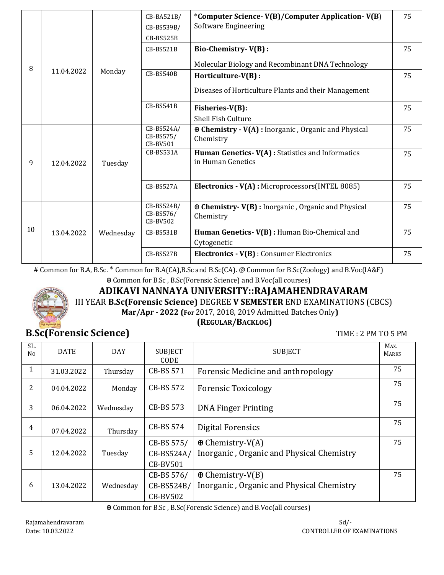|    |            |           | CB-BA521B/<br>CB-BS539B/<br>$CB-BSS25B$    | *Computer Science-V(B)/Computer Application-V(B)<br><b>Software Engineering</b> | 75 |
|----|------------|-----------|--------------------------------------------|---------------------------------------------------------------------------------|----|
|    |            |           | CB-BS521B                                  | Bio-Chemistry-V(B):                                                             | 75 |
| 8  |            |           |                                            | Molecular Biology and Recombinant DNA Technology                                |    |
|    | 11.04.2022 | Monday    | <b>CB-BS540B</b>                           | Horticulture-V(B):                                                              | 75 |
|    |            |           |                                            | Diseases of Horticulture Plants and their Management                            |    |
|    |            |           | CB-BS541B                                  | Fisheries-V(B):                                                                 | 75 |
|    |            |           |                                            | Shell Fish Culture                                                              |    |
|    | 12.04.2022 | Tuesday   | CB-BS524A/<br>CB-BS575/<br><b>CB-BV501</b> | $\oplus$ Chemistry - V(A) : Inorganic, Organic and Physical<br>Chemistry        | 75 |
| 9  |            |           | CB-BS531A                                  | Human Genetics-V(A) : Statistics and Informatics<br>in Human Genetics           | 75 |
|    |            |           | $CB-BSS27A$                                | Electronics - V(A) : Microprocessors(INTEL 8085)                                | 75 |
|    |            |           | CB-BS524B/<br>CB-BS576/<br>CB-BV502        | $\oplus$ Chemistry-V(B) : Inorganic, Organic and Physical<br>Chemistry          | 75 |
| 10 | 13.04.2022 | Wednesday | CB-BS531B                                  | Human Genetics-V(B) : Human Bio-Chemical and<br>Cytogenetic                     | 75 |
|    |            |           | CB-BS527B                                  | Electronics - V(B) : Consumer Electronics                                       | 75 |

# Common for B.A, B.Sc. \* Common for B.A(CA),B.Sc and B.Sc(CA). @ Common for B.Sc(Zoology) and B.Voc(IA&F)

Ꚛ Common for B.Sc , B.Sc(Forensic Science) and B.Voc(all courses)



# **ADIKAVI NANNAYA UNIVERSITY::RAJAMAHENDRAVARAM**

III YEAR **B.Sc(Forensic Science)** DEGREE **V SEMESTER** END EXAMINATIONS (CBCS)

**(REGULAR/BACKLOG)**

**Mar/Apr - 2022 (For** 2017, 2018, 2019 Admitted Batches Only**)**

**B.Sc(Forensic Science) TIME : 2 PM TO 5 PM** 

| SL.<br>N <sub>0</sub> | <b>DATE</b> | <b>DAY</b> | <b>SUBJECT</b><br>CODE                      | <b>SUBJECT</b>                                                       | MAX.<br><b>MARKS</b> |
|-----------------------|-------------|------------|---------------------------------------------|----------------------------------------------------------------------|----------------------|
| 1                     | 31.03.2022  | Thursday   | CB-BS 571                                   | Forensic Medicine and anthropology                                   | 75                   |
| 2                     | 04.04.2022  | Monday     | CB-BS 572                                   | <b>Forensic Toxicology</b>                                           | 75                   |
| 3                     | 06.04.2022  | Wednesday  | CB-BS 573                                   | <b>DNA Finger Printing</b>                                           | 75                   |
| 4                     | 07.04.2022  | Thursday   | CB-BS 574                                   | <b>Digital Forensics</b>                                             | 75                   |
| 5                     | 12.04.2022  | Tuesday    | CB-BS 575/<br>CB-BS524A/<br><b>CB-BV501</b> | $\oplus$ Chemistry-V(A)<br>Inorganic, Organic and Physical Chemistry | 75                   |
| 6                     | 13.04.2022  | Wednesday  | CB-BS 576/<br>CB-BS524B/<br><b>CB-BV502</b> | $\oplus$ Chemistry-V(B)<br>Inorganic, Organic and Physical Chemistry | 75                   |

Ꚛ Common for B.Sc , B.Sc(Forensic Science) and B.Voc(all courses)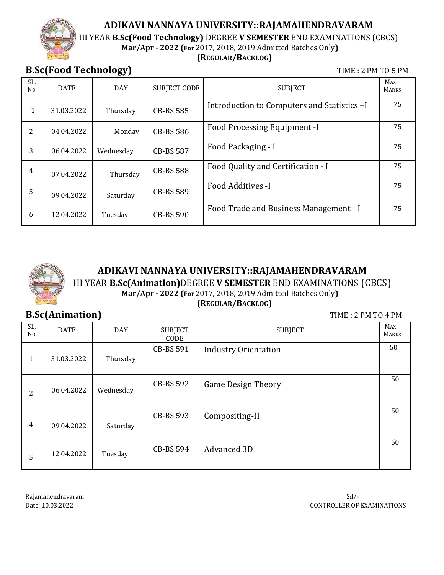III YEAR **B.Sc(Food Technology)** DEGREE **V SEMESTER** END EXAMINATIONS (CBCS)

## **Mar/Apr - 2022 (For** 2017, 2018, 2019 Admitted Batches Only**)**

#### **(REGULAR/BACKLOG)**

**B.Sc(Food Technology) TIME : 2 PM TO 5 PM** 

| SL.<br>No | <b>DATE</b> | <b>DAY</b> | <b>SUBJECT CODE</b> | <b>SUBJECT</b>                              | MAX.<br><b>MARKS</b> |
|-----------|-------------|------------|---------------------|---------------------------------------------|----------------------|
| 1         | 31.03.2022  | Thursday   | <b>CB-BS 585</b>    | Introduction to Computers and Statistics -I | 75                   |
| 2         | 04.04.2022  | Monday     | <b>CB-BS 586</b>    | <b>Food Processing Equipment -I</b>         | 75                   |
| 3         | 06.04.2022  | Wednesday  | <b>CB-BS 587</b>    | Food Packaging - I                          | 75                   |
| 4         | 07.04.2022  | Thursday   | <b>CB-BS 588</b>    | Food Quality and Certification - I          | 75                   |
| 5         | 09.04.2022  | Saturday   | <b>CB-BS 589</b>    | Food Additives -I                           | 75                   |
| 6         | 12.04.2022  | Tuesday    | <b>CB-BS 590</b>    | Food Trade and Business Management - I      | 75                   |



## **ADIKAVI NANNAYA UNIVERSITY::RAJAMAHENDRAVARAM** III YEAR **B.Sc(Animation)**DEGREE **V SEMESTER** END EXAMINATIONS (CBCS) **Mar/Apr - 2022 (For** 2017, 2018, 2019 Admitted Batches Only**) (REGULAR/BACKLOG)**

**B.Sc(Animation) TIME : 2 PM TO 4 PM** 

| SL.<br>N <sub>0</sub> | <b>DATE</b> | <b>DAY</b> | <b>SUBJECT</b><br>CODE | <b>SUBJECT</b>              | MAX.<br><b>MARKS</b> |
|-----------------------|-------------|------------|------------------------|-----------------------------|----------------------|
| 1                     | 31.03.2022  | Thursday   | CB-BS 591              | <b>Industry Orientation</b> | 50                   |
| 2                     | 06.04.2022  | Wednesday  | CB-BS 592              | <b>Game Design Theory</b>   | 50                   |
| 4                     | 09.04.2022  | Saturday   | CB-BS 593              | Compositing-II              | 50                   |
| 5                     | 12.04.2022  | Tuesday    | <b>CB-BS 594</b>       | Advanced 3D                 | 50                   |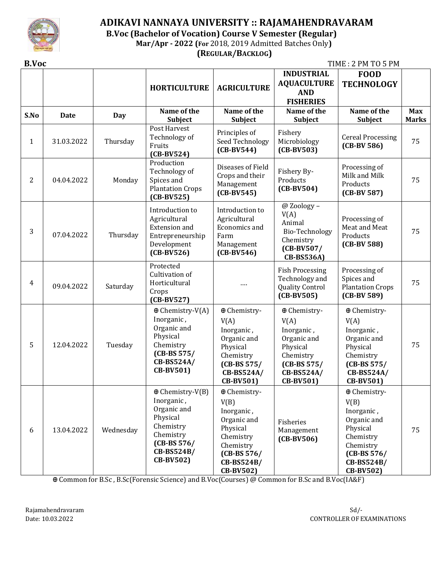

### **ADIKAVI NANNAYA UNIVERSITY :: RAJAMAHENDRAVARAM B.Voc (Bachelor of Vocation) Course V Semester (Regular) Mar/Apr - 2022 (For** 2018, 2019 Admitted Batches Only**) (REGULAR/BACKLOG)**

**B.Voc** TIME : 2 PM TO 5 PM

|              |             |            | <b>HORTICULTURE</b>                                                                                                                           | <b>AGRICULTURE</b>                                                                                                                         | <b>INDUSTRIAL</b><br><b>AQUACULTURE</b><br><b>AND</b><br><b>FISHERIES</b>                                                     | <b>FOOD</b><br><b>TECHNOLOGY</b>                                                                                                           |                            |
|--------------|-------------|------------|-----------------------------------------------------------------------------------------------------------------------------------------------|--------------------------------------------------------------------------------------------------------------------------------------------|-------------------------------------------------------------------------------------------------------------------------------|--------------------------------------------------------------------------------------------------------------------------------------------|----------------------------|
| S.No         | <b>Date</b> | <b>Day</b> | Name of the<br>Subject                                                                                                                        | Name of the<br>Subject                                                                                                                     | Name of the<br>Subject                                                                                                        | Name of the<br><b>Subject</b>                                                                                                              | <b>Max</b><br><b>Marks</b> |
| $\mathbf{1}$ | 31.03.2022  | Thursday   | Post Harvest<br>Technology of<br>Fruits<br>$(CB-BV524)$                                                                                       | Principles of<br>Seed Technology<br>$(CB-BV544)$                                                                                           | Fishery<br>Microbiology<br>$(CB-BV503)$                                                                                       | <b>Cereal Processing</b><br>$(CB-BV 586)$                                                                                                  | 75                         |
| 2            | 04.04.2022  | Monday     | Production<br>Technology of<br>Spices and<br><b>Plantation Crops</b><br>$(CB-BV525)$                                                          | Diseases of Field<br>Crops and their<br>Management<br>$(CB-BV545)$                                                                         | Fishery By-<br>Products<br>$(CB-BV504)$                                                                                       | Processing of<br>Milk and Milk<br>Products<br>$(CB-BV 587)$                                                                                | 75                         |
| 3            | 07.04.2022  | Thursday   | Introduction to<br>Agricultural<br><b>Extension</b> and<br>Entrepreneurship<br>Development<br>$(CB-BV526)$                                    | Introduction to<br>Agricultural<br>Economics and<br>Farm<br>Management<br>$(CB-BV546)$                                                     | @ Zoology -<br>V(A)<br>Animal<br>Bio-Technology<br>Chemistry<br>$(CB-BV507/$<br><b>CB-BS536A)</b>                             | Processing of<br>Meat and Meat<br>Products<br>$(CB-BV 588)$                                                                                | 75                         |
| 4            | 09.04.2022  | Saturday   | Protected<br>Cultivation of<br>Horticultural<br>Crops<br>$(CB-BV527)$                                                                         |                                                                                                                                            | <b>Fish Processing</b><br>Technology and<br><b>Quality Control</b><br>$(CB-BV505)$                                            | Processing of<br>Spices and<br><b>Plantation Crops</b><br>$(CB-BV 589)$                                                                    | 75                         |
| 5            | 12.04.2022  | Tuesday    | $\oplus$ Chemistry-V(A)<br>Inorganic,<br>Organic and<br>Physical<br>Chemistry<br>$(CB-BS 575/$<br>CB-BS524A/<br>CB-BV501)                     | ⊕ Chemistry-<br>V(A)<br>Inorganic,<br>Organic and<br>Physical<br>Chemistry<br>$(CB-BS 575/$<br>CB-BS524A/<br><b>CB-BV501)</b>              | ⊕ Chemistry-<br>V(A)<br>Inorganic,<br>Organic and<br>Physical<br>Chemistry<br>$(CB-BS 575/$<br>CB-BS524A/<br><b>CB-BV501)</b> | ⊕ Chemistry-<br>V(A)<br>Inorganic,<br>Organic and<br>Physical<br>Chemistry<br>$(CB-BS 575/$<br>CB-BS524A/<br><b>CB-BV501)</b>              | 75                         |
| 6            | 13.04.2022  | Wednesday  | $\oplus$ Chemistry-V(B)<br>Inorganic,<br>Organic and<br>Physical<br>Chemistry<br>Chemistry<br>$(CB-BS 576/$<br>CB-BS524B/<br><b>CB-BV502)</b> | ⊕ Chemistry-<br>V(B)<br>Inorganic,<br>Organic and<br>Physical<br>Chemistry<br>Chemistry<br>$(CB-BS 576/$<br>CB-BS524B/<br><b>CB-BV502)</b> | Fisheries<br>Management<br>$(CB-BV506)$                                                                                       | ⊕ Chemistry-<br>V(B)<br>Inorganic,<br>Organic and<br>Physical<br>Chemistry<br>Chemistry<br>$(CB-BS 576/$<br>CB-BS524B/<br><b>CB-BV502)</b> | 75                         |

Ꚛ Common for B.Sc , B.Sc(Forensic Science) and B.Voc(Courses) @ Common for B.Sc and B.Voc(IA&F)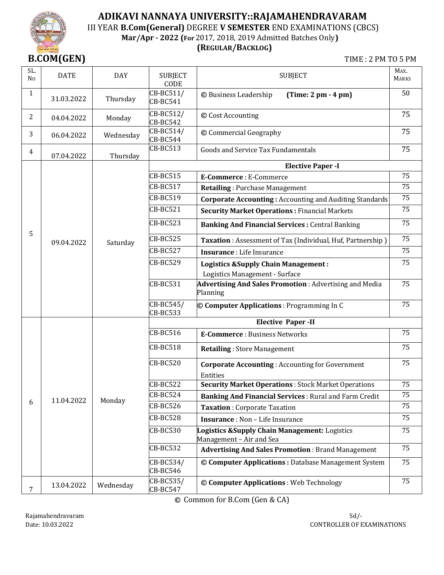

## **ADIKAVI NANNAYA UNIVERSITY::RAJAMAHENDRAVARAM** III YEAR **B.Com(General)** DEGREE **V SEMESTER** END EXAMINATIONS (CBCS) **Mar/Apr - 2022 (For** 2017, 2018, 2019 Admitted Batches Only**)**

#### **(REGULAR/BACKLOG)**

**B.COM(GEN)** TIME : 2 PM TO 5 PM

| SL.<br>N <sub>0</sub> | <b>DATE</b> | <b>DAY</b> | <b>SUBJECT</b><br>CODE       | <b>SUBJECT</b>                                                                   | MAX.<br><b>MARKS</b> |
|-----------------------|-------------|------------|------------------------------|----------------------------------------------------------------------------------|----------------------|
| $\mathbf{1}$          | 31.03.2022  | Thursday   | CB-BC511/<br>CB-BC541        | © Business Leadership<br>$(Time: 2 pm - 4 pm)$                                   | 50                   |
| 2                     | 04.04.2022  | Monday     | CB-BC512/<br><b>CB-BC542</b> | © Cost Accounting                                                                | 75                   |
| 3                     | 06.04.2022  | Wednesday  | CB-BC514/<br>CB-BC544        | © Commercial Geography                                                           | 75                   |
| 4                     | 07.04.2022  | Thursday   | <b>CB-BC513</b>              | <b>Goods and Service Tax Fundamentals</b>                                        | 75                   |
|                       |             |            |                              | <b>Elective Paper - I</b>                                                        |                      |
|                       |             |            | <b>CB-BC515</b>              | E-Commerce : E-Commerce                                                          | 75                   |
|                       |             |            | CB-BC517                     | <b>Retailing: Purchase Management</b>                                            | $\overline{75}$      |
|                       |             |            | CB-BC519                     | <b>Corporate Accounting: Accounting and Auditing Standards</b>                   | 75                   |
|                       |             |            | <b>CB-BC521</b>              | <b>Security Market Operations: Financial Markets</b>                             | 75                   |
|                       | 09.04.2022  |            | <b>CB-BC523</b>              | <b>Banking And Financial Services: Central Banking</b>                           | 75                   |
| 5                     |             | Saturday   | CB-BC525                     | Taxation: Assessment of Tax (Individual, Huf, Partnership)                       | 75                   |
|                       |             |            | <b>CB-BC527</b>              | Insurance : Life Insurance                                                       | 75                   |
|                       |             |            | CB-BC529                     | <b>Logistics &amp;Supply Chain Management:</b><br>Logistics Management - Surface | 75                   |
|                       |             |            | CB-BC531                     | Advertising And Sales Promotion: Advertising and Media<br>Planning               | 75                   |
|                       |             |            | CB-BC545/<br><b>CB-BC533</b> | © Computer Applications : Programming In C                                       | 75                   |
|                       |             |            |                              | <b>Elective Paper-II</b>                                                         |                      |
|                       |             |            | CB-BC516                     | <b>E-Commerce</b> : Business Networks                                            | 75                   |
|                       |             |            | <b>CB-BC518</b>              | <b>Retailing: Store Management</b>                                               | 75                   |
|                       |             |            | <b>CB-BC520</b>              | <b>Corporate Accounting: Accounting for Government</b><br>Entities               | 75                   |
|                       |             |            | <b>CB-BC522</b>              | <b>Security Market Operations: Stock Market Operations</b>                       | 75                   |
|                       |             |            | <b>CB-BC524</b>              | Banking And Financial Services : Rural and Farm Credit                           | 75                   |
| 6                     | 11.04.2022  | Monday     | <b>CB-BC526</b>              | <b>Taxation: Corporate Taxation</b>                                              | 75                   |
|                       |             |            | <b>CB-BC528</b>              | <b>Insurance</b> : Non - Life Insurance                                          | 75                   |
|                       |             |            | CB-BC530                     | Logistics & Supply Chain Management: Logistics<br>Management - Air and Sea       | 75                   |
|                       |             |            | <b>CB-BC532</b>              | <b>Advertising And Sales Promotion: Brand Management</b>                         | 75                   |
|                       |             |            | CB-BC534/<br>CB-BC546        | © Computer Applications : Database Management System                             | 75                   |
| 7                     | 13.04.2022  | Wednesday  | CB-BC535/<br>CB-BC547        | © Computer Applications : Web Technology                                         | 75                   |

**©** Common for B.Com (Gen & CA)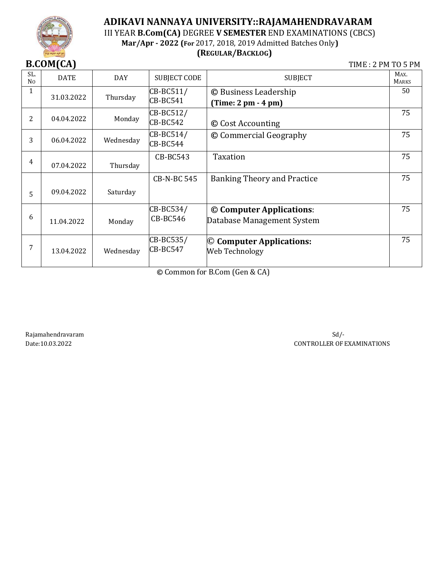

# **ADIKAVI NANNAYA UNIVERSITY::RAJAMAHENDRAVARAM** III YEAR **B.Com(CA)** DEGREE **V SEMESTER** END EXAMINATIONS (CBCS) **Mar/Apr - 2022 (For** 2017, 2018, 2019 Admitted Batches Only**)**

**(REGULAR/BACKLOG)**

**B.COM(CA) TIME : 2 PM TO 5 PM** 

|                       | ונש ויישטיש |            |                              |                                                        |                      |
|-----------------------|-------------|------------|------------------------------|--------------------------------------------------------|----------------------|
| SL.<br>N <sub>0</sub> | <b>DATE</b> | <b>DAY</b> | <b>SUBJECT CODE</b>          | <b>SUBJECT</b>                                         | MAX.<br><b>MARKS</b> |
| 1                     | 31.03.2022  | Thursday   | CB-BC511/<br><b>CB-BC541</b> | © Business Leadership<br>$(Time: 2 pm - 4 pm)$         | 50                   |
| 2                     | 04.04.2022  | Monday     | CB-BC512/<br><b>CB-BC542</b> | © Cost Accounting                                      | 75                   |
| 3                     | 06.04.2022  | Wednesday  | CB-BC514/<br>CB-BC544        | © Commercial Geography                                 | 75                   |
| 4                     | 07.04.2022  | Thursday   | <b>CB-BC543</b>              | <b>Taxation</b>                                        | 75                   |
| 5                     | 09.04.2022  | Saturday   | <b>CB-N-BC 545</b>           | <b>Banking Theory and Practice</b>                     | 75                   |
| 6                     | 11.04.2022  | Monday     | CB-BC534/<br><b>CB-BC546</b> | © Computer Applications:<br>Database Management System | 75                   |
| 7                     | 13.04.2022  | Wednesday  | CB-BC535/<br><b>CB-BC547</b> | © Computer Applications:<br>Web Technology             | 75                   |

**©** Common for B.Com (Gen & CA)

Rajamahendravaram Sd/-

Date:10.03.2022 CONTROLLER OF EXAMINATIONS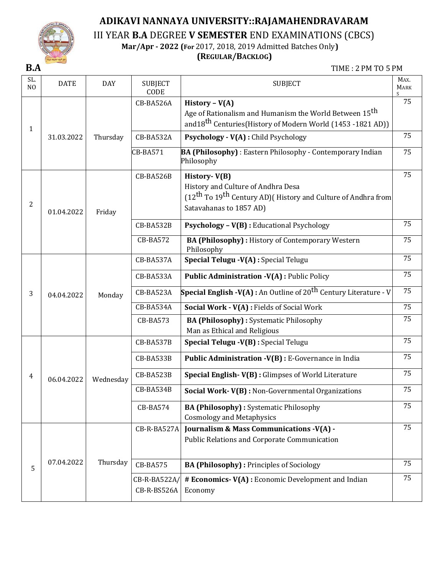

III YEAR **B.A** DEGREE **V SEMESTER** END EXAMINATIONS (CBCS)

**Mar/Apr - 2022 (For** 2017, 2018, 2019 Admitted Batches Only**)**

## **(REGULAR/BACKLOG)**

**B.A** TIME : 2 PM TO 5 PM

| SL.<br>N <sub>O</sub> | <b>DATE</b> | <b>DAY</b> | <b>SUBJECT</b><br>CODE      | <b>SUBJECT</b>                                                                                                                                                         | MAX.<br><b>MARK</b><br>S. |
|-----------------------|-------------|------------|-----------------------------|------------------------------------------------------------------------------------------------------------------------------------------------------------------------|---------------------------|
| $\mathbf{1}$          |             |            | CB-BA526A                   | History - $V(A)$<br>Age of Rationalism and Humanism the World Between 15 <sup>th</sup><br>and 18 <sup>th</sup> Centuries (History of Modern World (1453 -1821 AD))     | 75                        |
|                       | 31.03.2022  | Thursday   | CB-BA532A                   | Psychology - V(A) : Child Psychology                                                                                                                                   | 75                        |
|                       |             |            | <b>CB-BA571</b>             | <b>BA (Philosophy)</b> : Eastern Philosophy - Contemporary Indian<br>Philosophy                                                                                        | 75                        |
| 2                     | 01.04.2022  | Friday     | CB-BA526B                   | History-V(B)<br>History and Culture of Andhra Desa<br>(12 <sup>th</sup> To 19 <sup>th</sup> Century AD) (History and Culture of Andhra from<br>Satavahanas to 1857 AD) | 75                        |
|                       |             |            | CB-BA532B                   | Psychology - V(B) : Educational Psychology                                                                                                                             | 75                        |
|                       |             |            | CB-BA572                    | BA (Philosophy) : History of Contemporary Western<br>Philosophy                                                                                                        | 75                        |
|                       | 04.04.2022  | Monday     | CB-BA537A                   | Special Telugu -V(A) : Special Telugu                                                                                                                                  | 75                        |
|                       |             |            | CB-BA533A                   | <b>Public Administration -V(A): Public Policy</b>                                                                                                                      | 75                        |
| 3                     |             |            | CB-BA523A                   | <b>Special English -V(A):</b> An Outline of 20 <sup>th</sup> Century Literature - V                                                                                    | 75                        |
|                       |             |            | CB-BA534A                   | Social Work - V(A) : Fields of Social Work                                                                                                                             | 75                        |
|                       |             |            | <b>CB-BA573</b>             | <b>BA (Philosophy):</b> Systematic Philosophy<br>Man as Ethical and Religious                                                                                          | 75                        |
|                       |             |            | CB-BA537B                   | Special Telugu -V(B) : Special Telugu                                                                                                                                  | 75                        |
|                       |             |            | CB-BA533B                   | Public Administration -V(B) : E-Governance in India                                                                                                                    | 75                        |
| 4                     | 06.04.2022  | Wednesday  | CB-BA523B                   | Special English-V(B) : Glimpses of World Literature                                                                                                                    | 75                        |
|                       |             |            | CB-BA534B                   | Social Work-V(B) : Non-Governmental Organizations                                                                                                                      | 75                        |
|                       |             |            | CB-BA574                    | <b>BA (Philosophy):</b> Systematic Philosophy<br><b>Cosmology and Metaphysics</b>                                                                                      | 75                        |
|                       |             |            | CB-R-BA527A                 | Journalism & Mass Communications -V(A) -<br>Public Relations and Corporate Communication                                                                               | 75                        |
| 5                     | 07.04.2022  | Thursday   | <b>CB-BA575</b>             | <b>BA (Philosophy): Principles of Sociology</b>                                                                                                                        | 75                        |
|                       |             |            | CB-R-BA522A/<br>CB-R-BS526A | # Economics-V(A) : Economic Development and Indian<br>Economy                                                                                                          | 75                        |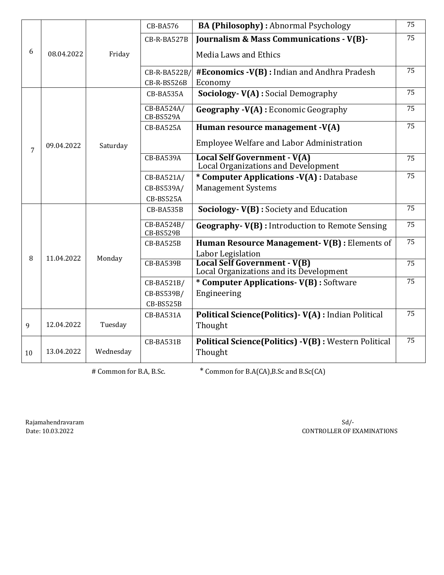|    |            |           | <b>CB-BA576</b>         | <b>BA (Philosophy):</b> Abnormal Psychology                                    | 75 |
|----|------------|-----------|-------------------------|--------------------------------------------------------------------------------|----|
|    |            |           | CB-R-BA527B             | Journalism & Mass Communications - V(B)-                                       | 75 |
| 6  | 08.04.2022 | Friday    |                         | <b>Media Laws and Ethics</b>                                                   |    |
|    |            |           | CB-R-BA522B/            | #Economics -V(B) : Indian and Andhra Pradesh                                   | 75 |
|    |            |           | CB-R-BS526B             | Economy                                                                        |    |
|    |            |           | CB-BA535A               | <b>Sociology- V(A): Social Demography</b>                                      | 75 |
|    |            |           | CB-BA524A/<br>CB-BS529A | <b>Geography -V(A)</b> : Economic Geography                                    | 75 |
|    |            |           | CB-BA525A               | Human resource management -V(A)                                                | 75 |
| 7  | 09.04.2022 | Saturday  |                         | Employee Welfare and Labor Administration                                      |    |
|    |            |           | CB-BA539A               | <b>Local Self Government - V(A)</b><br>Local Organizations and Development     | 75 |
|    |            |           | CB-BA521A/              | * Computer Applications -V(A) : Database                                       | 75 |
|    |            |           | CB-BS539A/              | <b>Management Systems</b>                                                      |    |
|    |            |           | CB-BS525A               |                                                                                |    |
|    |            |           | CB-BA535B               | Sociology-V(B) : Society and Education                                         | 75 |
|    |            |           | CB-BA524B/<br>CB-BS529B | <b>Geography-V(B)</b> : Introduction to Remote Sensing                         | 75 |
|    |            |           | CB-BA525B               | Human Resource Management-V(B) : Elements of                                   | 75 |
| 8  | 11.04.2022 | Monday    |                         | Labor Legislation                                                              |    |
|    |            |           | CB-BA539B               | <b>Local Self Government - V(B)</b><br>Local Organizations and its Development | 75 |
|    |            |           | CB-BA521B/              | * Computer Applications- V(B) : Software                                       | 75 |
|    |            |           | CB-BS539B/              | Engineering                                                                    |    |
|    |            |           | CB-BS525B               |                                                                                |    |
|    |            |           | CB-BA531A               | Political Science(Politics) - V(A) : Indian Political                          | 75 |
| 9  | 12.04.2022 | Tuesday   |                         | Thought                                                                        |    |
|    |            |           | CB-BA531B               | Political Science(Politics) -V(B) : Western Political                          | 75 |
| 10 | 13.04.2022 | Wednesday |                         | Thought                                                                        |    |

# Common for B.A, B.Sc. \* Common for B.A(CA), B.Sc and B.Sc(CA)

Rajamahendravaram Sd/-

Date: 10.03.2022 CONTROLLER OF EXAMINATIONS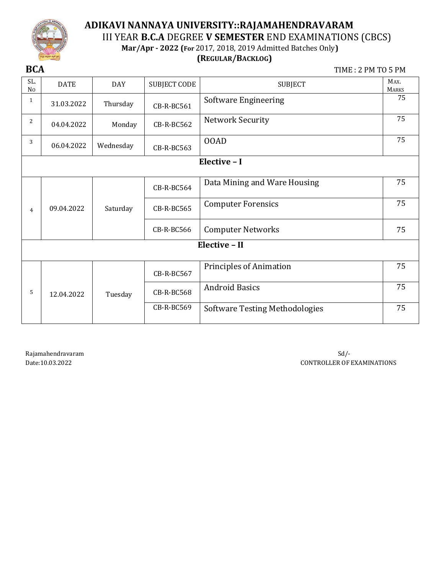

## **ADIKAVI NANNAYA UNIVERSITY::RAJAMAHENDRAVARAM** III YEAR **B.C.A** DEGREE **V SEMESTER** END EXAMINATIONS (CBCS) **Mar/Apr - 2022 (For** 2017, 2018, 2019 Admitted Batches Only**)**

## **(REGULAR/BACKLOG)**

**BCA** TIME : 2 PM TO 5 PM

| SL.<br>N <sub>0</sub> | <b>DATE</b> | <b>DAY</b> | <b>SUBJECT CODE</b> | <b>SUBJECT</b>                        | MAX.<br><b>MARKS</b> |
|-----------------------|-------------|------------|---------------------|---------------------------------------|----------------------|
| $\mathbf{1}$          | 31.03.2022  | Thursday   | CB-R-BC561          | Software Engineering                  | 75                   |
| 2                     | 04.04.2022  | Monday     | CB-R-BC562          | <b>Network Security</b>               | 75                   |
| 3                     | 06.04.2022  | Wednesday  | CB-R-BC563          | 00AD                                  | 75                   |
|                       |             |            |                     | Elective - I                          |                      |
|                       | 09.04.2022  |            | CB-R-BC564          | Data Mining and Ware Housing          | 75                   |
| $\overline{4}$        |             | Saturday   | CB-R-BC565          | <b>Computer Forensics</b>             | 75                   |
|                       |             |            | <b>CB-R-BC566</b>   | <b>Computer Networks</b>              | 75                   |
|                       |             |            |                     | Elective - II                         |                      |
|                       |             |            | CB-R-BC567          | <b>Principles of Animation</b>        | 75                   |
| 5                     | 12.04.2022  | Tuesday    | CB-R-BC568          | <b>Android Basics</b>                 | 75                   |
|                       |             |            | CB-R-BC569          | <b>Software Testing Methodologies</b> | 75                   |

Rajamahendravaram Sd/-

Date:10.03.2022 CONTROLLER OF EXAMINATIONS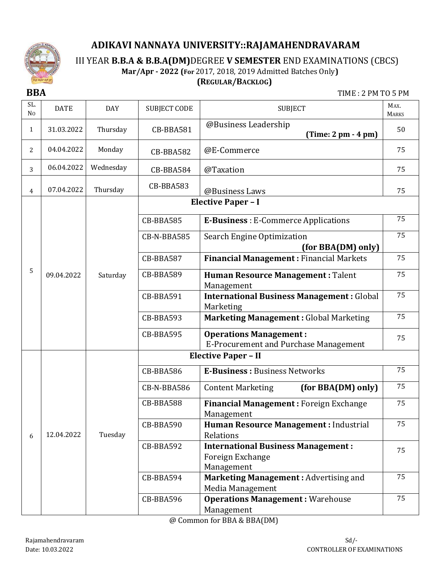

III YEAR **B.B.A & B.B.A(DM)**DEGREE **V SEMESTER** END EXAMINATIONS (CBCS)

**Mar/Apr - 2022 (For** 2017, 2018, 2019 Admitted Batches Only**)**

## **(REGULAR/BACKLOG)**

**BBA** TIME : 2 PM TO 5 PM

| SL.<br>N <sub>0</sub> | <b>DATE</b> | <b>DAY</b> | <b>SUBJECT CODE</b> | <b>SUBJECT</b>                                                                | MAX.<br><b>MARKS</b> |
|-----------------------|-------------|------------|---------------------|-------------------------------------------------------------------------------|----------------------|
| $\mathbf{1}$          | 31.03.2022  | Thursday   | CB-BBA581           | @Business Leadership<br>$(Time: 2 pm - 4 pm)$                                 | 50                   |
| 2                     | 04.04.2022  | Monday     | CB-BBA582           | @E-Commerce                                                                   | 75                   |
| 3                     | 06.04.2022  | Wednesday  | CB-BBA584           | @Taxation                                                                     | 75                   |
| 4                     | 07.04.2022  | Thursday   | CB-BBA583           | @Business Laws                                                                | 75                   |
|                       |             |            |                     | <b>Elective Paper - I</b>                                                     |                      |
|                       |             |            | CB-BBA585           | <b>E-Business</b> : E-Commerce Applications                                   | 75                   |
|                       |             |            | CB-N-BBA585         | Search Engine Optimization<br>(for BBA(DM) only)                              | 75                   |
|                       |             |            | CB-BBA587           | <b>Financial Management: Financial Markets</b>                                | 75                   |
| 5                     | 09.04.2022  | Saturday   | CB-BBA589           | <b>Human Resource Management: Talent</b><br>Management                        | 75                   |
|                       |             |            | CB-BBA591           | <b>International Business Management: Global</b><br>Marketing                 | 75                   |
|                       |             |            | CB-BBA593           | <b>Marketing Management: Global Marketing</b>                                 | 75                   |
|                       |             |            | CB-BBA595           | <b>Operations Management:</b><br><b>E-Procurement and Purchase Management</b> | 75                   |
|                       |             |            |                     | <b>Elective Paper - II</b>                                                    |                      |
|                       |             |            | CB-BBA586           | <b>E-Business: Business Networks</b>                                          | 75                   |
|                       |             |            | CB-N-BBA586         | (for BBA(DM) only)<br><b>Content Marketing</b>                                | 75                   |
|                       |             |            | CB-BBA588           | <b>Financial Management: Foreign Exchange</b><br>Management                   | 75                   |
| 6                     | 12.04.2022  | Tuesday    | CB-BBA590           | Human Resource Management : Industrial<br>Relations                           | 75                   |
|                       |             |            | CB-BBA592           | <b>International Business Management:</b><br>Foreign Exchange<br>Management   | 75                   |
|                       |             |            | CB-BBA594           | Marketing Management: Advertising and<br>Media Management                     | 75                   |
|                       |             |            | CB-BBA596           | <b>Operations Management: Warehouse</b><br>Management                         | 75                   |

@ Common for BBA & BBA(DM)